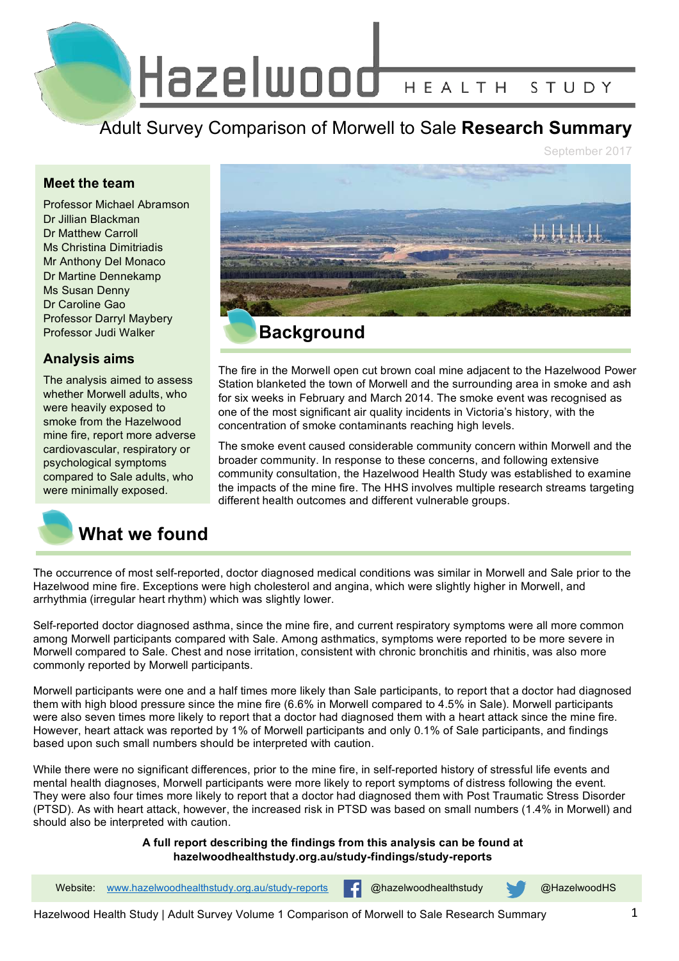Hazelwood HEALTH STUDY

Adult Survey Comparison of Morwell to Sale **Research Summary**

September 2017

## **Meet the team**

Professor Michael Abramson Dr Jillian Blackman Dr Matthew Carroll Ms Christina Dimitriadis Mr Anthony Del Monaco Dr Martine Dennekamp Ms Susan Denny Dr Caroline Gao Professor Darryl Maybery Professor Judi Walker

# **Analysis aims**

The analysis aimed to assess whether Morwell adults, who were heavily exposed to smoke from the Hazelwood mine fire, report more adverse cardiovascular, respiratory or psychological symptoms compared to Sale adults, who were minimally exposed.





The fire in the Morwell open cut brown coal mine adjacent to the Hazelwood Power Station blanketed the town of Morwell and the surrounding area in smoke and ash for six weeks in February and March 2014. The smoke event was recognised as one of the most significant air quality incidents in Victoria's history, with the concentration of smoke contaminants reaching high levels.

The smoke event caused considerable community concern within Morwell and the broader community. In response to these concerns, and following extensive community consultation, the Hazelwood Health Study was established to examine the impacts of the mine fire. The HHS involves multiple research streams targeting different health outcomes and different vulnerable groups.

The occurrence of most self-reported, doctor diagnosed medical conditions was similar in Morwell and Sale prior to the Hazelwood mine fire. Exceptions were high cholesterol and angina, which were slightly higher in Morwell, and arrhythmia (irregular heart rhythm) which was slightly lower.

Self-reported doctor diagnosed asthma, since the mine fire, and current respiratory symptoms were all more common among Morwell participants compared with Sale. Among asthmatics, symptoms were reported to be more severe in Morwell compared to Sale. Chest and nose irritation, consistent with chronic bronchitis and rhinitis, was also more commonly reported by Morwell participants.

Morwell participants were one and a half times more likely than Sale participants, to report that a doctor had diagnosed them with high blood pressure since the mine fire (6.6% in Morwell compared to 4.5% in Sale). Morwell participants were also seven times more likely to report that a doctor had diagnosed them with a heart attack since the mine fire. However, heart attack was reported by 1% of Morwell participants and only 0.1% of Sale participants, and findings based upon such small numbers should be interpreted with caution.

While there were no significant differences, prior to the mine fire, in self-reported history of stressful life events and mental health diagnoses, Morwell participants were more likely to report symptoms of distress following the event. They were also four times more likely to report that a doctor had diagnosed them with Post Traumatic Stress Disorder (PTSD). As with heart attack, however, the increased risk in PTSD was based on small numbers (1.4% in Morwell) and should also be interpreted with caution.

### **A full report describing the findings from this analysis can be found at hazelwoodhealthstudy.org.au/study-findings/study-reports**

Website: www.hazelwoodhealthstudy.org.au/study-reports **@hazelwoodhealthstudy @HazelwoodHS** 

Hazelwood Health Study | Adult Survey Volume 1 Comparison of Morwell to Sale Research Summary 1